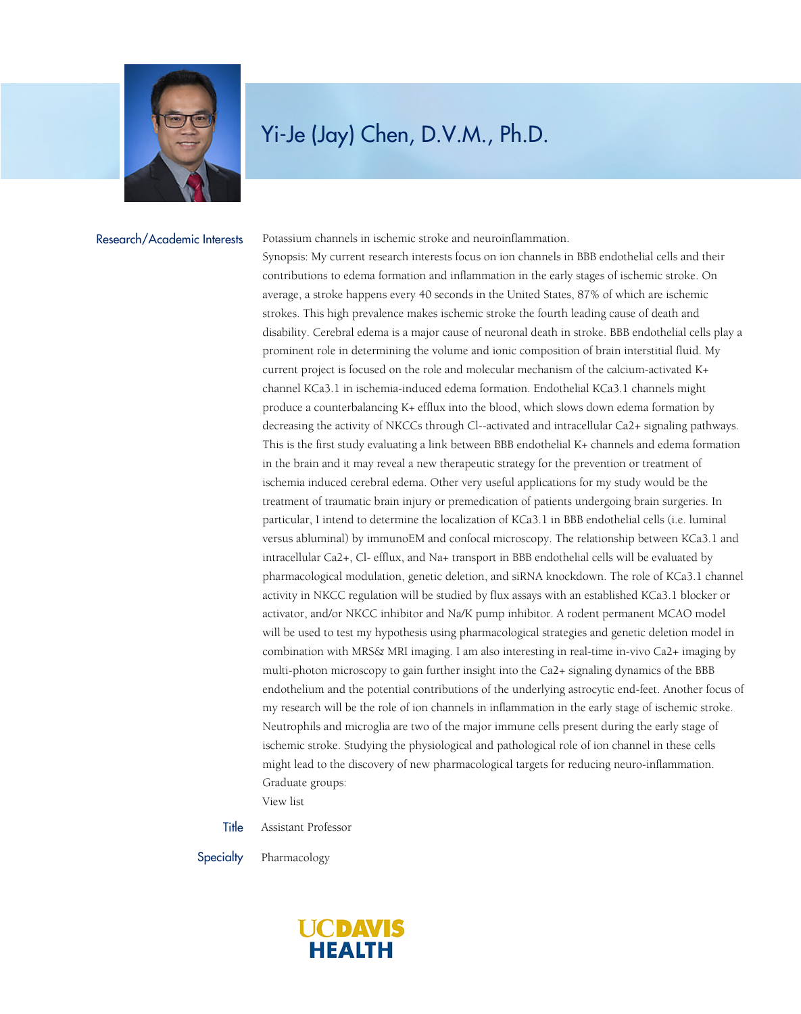

## Yi-Je (Jay) Chen, D.V.M., Ph.D.

Research/Academic Interests

Potassium channels in ischemic stroke and neuroinflammation.

Synopsis: My current research interests focus on ion channels in BBB endothelial cells and their contributions to edema formation and inflammation in the early stages of ischemic stroke. On average, a stroke happens every 40 seconds in the United States, 87% of which are ischemic strokes. This high prevalence makes ischemic stroke the fourth leading cause of death and disability. Cerebral edema is a major cause of neuronal death in stroke. BBB endothelial cells play a prominent role in determining the volume and ionic composition of brain interstitial fluid. My current project is focused on the role and molecular mechanism of the calcium-activated K+ channel KCa3.1 in ischemia-induced edema formation. Endothelial KCa3.1 channels might produce a counterbalancing K+ efflux into the blood, which slows down edema formation by decreasing the activity of NKCCs through Cl--activated and intracellular Ca2+ signaling pathways. This is the first study evaluating a link between BBB endothelial K+ channels and edema formation in the brain and it may reveal a new therapeutic strategy for the prevention or treatment of ischemia induced cerebral edema. Other very useful applications for my study would be the treatment of traumatic brain injury or premedication of patients undergoing brain surgeries. In particular, I intend to determine the localization of KCa3.1 in BBB endothelial cells (i.e. luminal versus abluminal) by immunoEM and confocal microscopy. The relationship between KCa3.1 and intracellular Ca2+, Cl- efflux, and Na+ transport in BBB endothelial cells will be evaluated by pharmacological modulation, genetic deletion, and siRNA knockdown. The role of KCa3.1 channel activity in NKCC regulation will be studied by flux assays with an established KCa3.1 blocker or activator, and/or NKCC inhibitor and Na/K pump inhibitor. A rodent permanent MCAO model will be used to test my hypothesis using pharmacological strategies and genetic deletion model in combination with MRS& MRI imaging. I am also interesting in real-time in-vivo Ca2+ imaging by multi-photon microscopy to gain further insight into the Ca2+ signaling dynamics of the BBB endothelium and the potential contributions of the underlying astrocytic end-feet. Another focus of my research will be the role of ion channels in inflammation in the early stage of ischemic stroke. Neutrophils and microglia are two of the major immune cells present during the early stage of ischemic stroke. Studying the physiological and pathological role of ion channel in these cells might lead to the discovery of new pharmacological targets for reducing neuro-inflammation. Graduate groups:

[View list](https://www.ucdmc.ucdavis.edu/pharmacology/graduategroups/gradgroupaffiliations.html)

Title Assistant Professor

Specialty Pharmacology

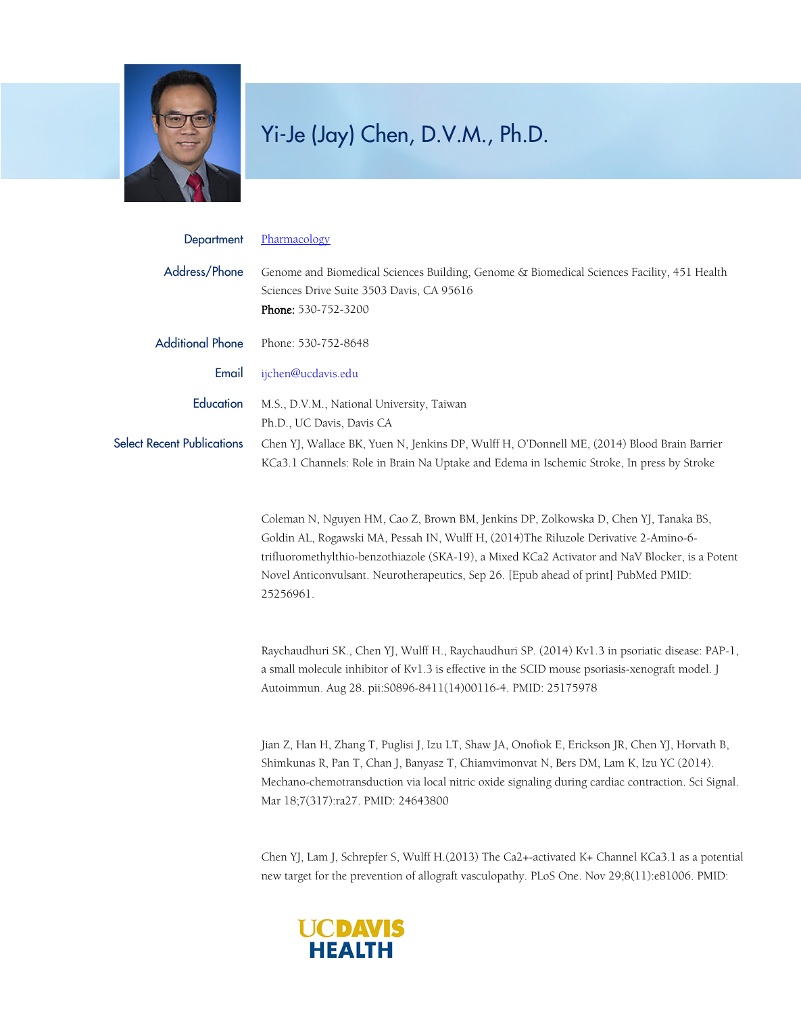

## Yi-Je (Jay) Chen, D.V.M., Ph.D.

| Department                        | Pharmacology                                                                                                                                                                                                                                                                                                                                                                       |
|-----------------------------------|------------------------------------------------------------------------------------------------------------------------------------------------------------------------------------------------------------------------------------------------------------------------------------------------------------------------------------------------------------------------------------|
| Address/Phone                     | Genome and Biomedical Sciences Building, Genome & Biomedical Sciences Facility, 451 Health<br>Sciences Drive Suite 3503 Davis, CA 95616<br>Phone: 530-752-3200                                                                                                                                                                                                                     |
| <b>Additional Phone</b>           | Phone: 530-752-8648                                                                                                                                                                                                                                                                                                                                                                |
| Email                             | ijchen@ucdavis.edu                                                                                                                                                                                                                                                                                                                                                                 |
| Education                         | M.S., D.V.M., National University, Taiwan<br>Ph.D., UC Davis, Davis CA                                                                                                                                                                                                                                                                                                             |
| <b>Select Recent Publications</b> | Chen YJ, Wallace BK, Yuen N, Jenkins DP, Wulff H, O'Donnell ME, (2014) Blood Brain Barrier<br>KCa3.1 Channels: Role in Brain Na Uptake and Edema in Ischemic Stroke, In press by Stroke                                                                                                                                                                                            |
|                                   | Coleman N, Nguyen HM, Cao Z, Brown BM, Jenkins DP, Zolkowska D, Chen YJ, Tanaka BS,<br>Goldin AL, Rogawski MA, Pessah IN, Wulff H, (2014)The Riluzole Derivative 2-Amino-6-<br>trifluoromethylthio-benzothiazole (SKA-19), a Mixed KCa2 Activator and NaV Blocker, is a Potent<br>Novel Anticonvulsant. Neurotherapeutics, Sep 26. [Epub ahead of print] PubMed PMID:<br>25256961. |
|                                   | Raychaudhuri SK., Chen YJ, Wulff H., Raychaudhuri SP. (2014) Kv1.3 in psoriatic disease: PAP-1,<br>a small molecule inhibitor of Kv1.3 is effective in the SCID mouse psoriasis-xenograft model. J<br>Autoimmun. Aug 28. pii: S0896-8411(14)00116-4. PMID: 25175978                                                                                                                |
|                                   | Jian Z, Han H, Zhang T, Puglisi J, Izu LT, Shaw JA, Onofiok E, Erickson JR, Chen YJ, Horvath B,<br>Shimkunas R, Pan T, Chan J, Banyasz T, Chiamvimonvat N, Bers DM, Lam K, Izu YC (2014).<br>Mechano-chemotransduction via local nitric oxide signaling during cardiac contraction. Sci Signal.<br>Mar 18;7(317):ra27. PMID: 24643800                                              |

Chen YJ, Lam J, Schrepfer S, Wulff H.(2013) The Ca2+-activated K+ Channel KCa3.1 as a potential new target for the prevention of allograft vasculopathy. PLoS One. Nov 29;8(11):e81006. PMID: